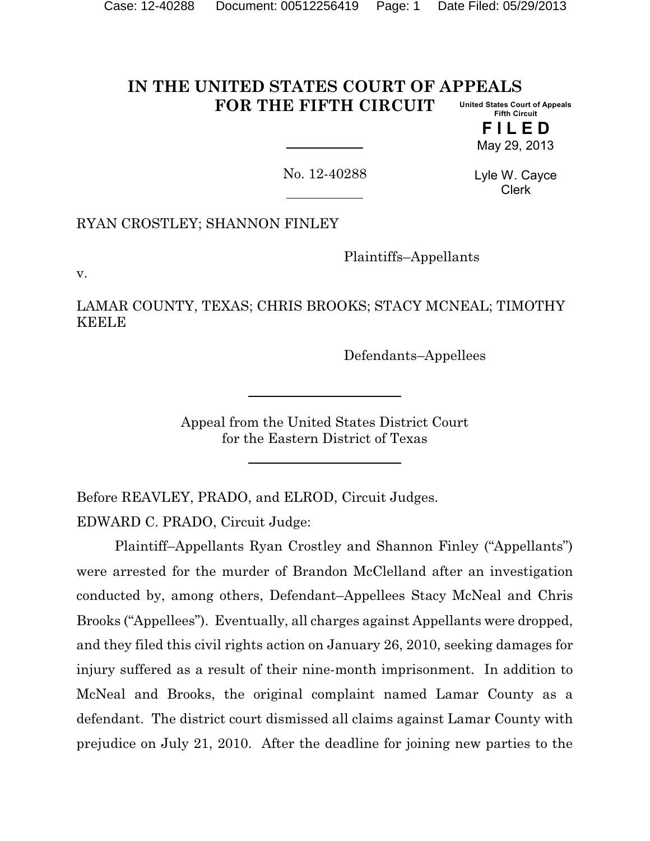#### **IN THE UNITED STATES COURT OF APPEALS FOR THE FIFTH CIRCUIT United States Court of Appeals Fifth Circuit**

**F I L E D** May 29, 2013

No. 12-40288

Lyle W. Cayce Clerk

RYAN CROSTLEY; SHANNON FINLEY

Plaintiffs–Appellants

v.

LAMAR COUNTY, TEXAS; CHRIS BROOKS; STACY MCNEAL; TIMOTHY KEELE

Defendants–Appellees

Appeal from the United States District Court for the Eastern District of Texas

Before REAVLEY, PRADO, and ELROD, Circuit Judges. EDWARD C. PRADO, Circuit Judge:

Plaintiff–Appellants Ryan Crostley and Shannon Finley ("Appellants") were arrested for the murder of Brandon McClelland after an investigation conducted by, among others, Defendant–Appellees Stacy McNeal and Chris Brooks ("Appellees"). Eventually, all charges against Appellants were dropped, and they filed this civil rights action on January 26, 2010, seeking damages for injury suffered as a result of their nine-month imprisonment. In addition to McNeal and Brooks, the original complaint named Lamar County as a defendant. The district court dismissed all claims against Lamar County with prejudice on July 21, 2010. After the deadline for joining new parties to the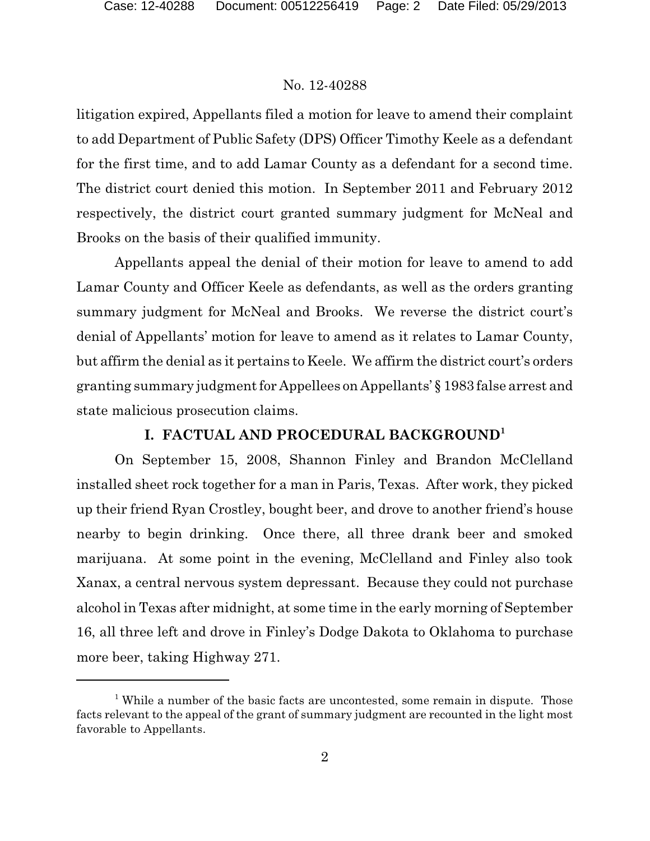litigation expired, Appellants filed a motion for leave to amend their complaint to add Department of Public Safety (DPS) Officer Timothy Keele as a defendant for the first time, and to add Lamar County as a defendant for a second time. The district court denied this motion. In September 2011 and February 2012 respectively, the district court granted summary judgment for McNeal and Brooks on the basis of their qualified immunity.

Appellants appeal the denial of their motion for leave to amend to add Lamar County and Officer Keele as defendants, as well as the orders granting summary judgment for McNeal and Brooks. We reverse the district court's denial of Appellants' motion for leave to amend as it relates to Lamar County, but affirm the denial as it pertains to Keele. We affirm the district court's orders granting summary judgment for Appellees on Appellants' § 1983 false arrest and state malicious prosecution claims.

### **I. FACTUAL AND PROCEDURAL BACKGROUND<sup>1</sup>**

On September 15, 2008, Shannon Finley and Brandon McClelland installed sheet rock together for a man in Paris, Texas. After work, they picked up their friend Ryan Crostley, bought beer, and drove to another friend's house nearby to begin drinking. Once there, all three drank beer and smoked marijuana. At some point in the evening, McClelland and Finley also took Xanax, a central nervous system depressant. Because they could not purchase alcohol in Texas after midnight, at some time in the early morning of September 16, all three left and drove in Finley's Dodge Dakota to Oklahoma to purchase more beer, taking Highway 271.

<sup>&</sup>lt;sup>1</sup> While a number of the basic facts are uncontested, some remain in dispute. Those facts relevant to the appeal of the grant of summary judgment are recounted in the light most favorable to Appellants.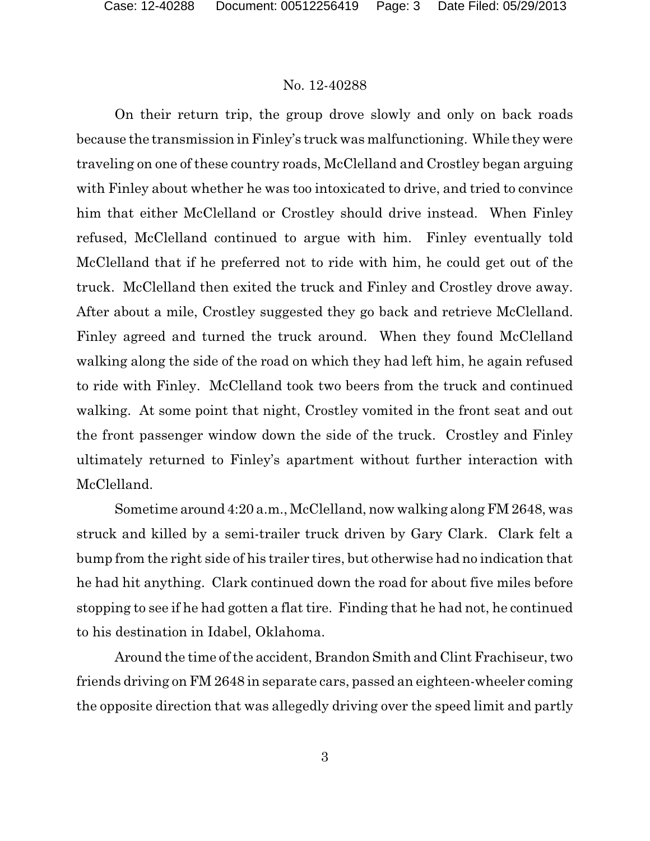On their return trip, the group drove slowly and only on back roads because the transmission in Finley's truck was malfunctioning. While they were traveling on one of these country roads, McClelland and Crostley began arguing with Finley about whether he was too intoxicated to drive, and tried to convince him that either McClelland or Crostley should drive instead. When Finley refused, McClelland continued to argue with him. Finley eventually told McClelland that if he preferred not to ride with him, he could get out of the truck. McClelland then exited the truck and Finley and Crostley drove away. After about a mile, Crostley suggested they go back and retrieve McClelland. Finley agreed and turned the truck around. When they found McClelland walking along the side of the road on which they had left him, he again refused to ride with Finley. McClelland took two beers from the truck and continued walking. At some point that night, Crostley vomited in the front seat and out the front passenger window down the side of the truck. Crostley and Finley ultimately returned to Finley's apartment without further interaction with McClelland.

Sometime around 4:20 a.m., McClelland, now walking along FM 2648, was struck and killed by a semi-trailer truck driven by Gary Clark. Clark felt a bump from the right side of his trailer tires, but otherwise had no indication that he had hit anything. Clark continued down the road for about five miles before stopping to see if he had gotten a flat tire. Finding that he had not, he continued to his destination in Idabel, Oklahoma.

Around the time of the accident, Brandon Smith and Clint Frachiseur, two friends driving on FM 2648 in separate cars, passed an eighteen-wheeler coming the opposite direction that was allegedly driving over the speed limit and partly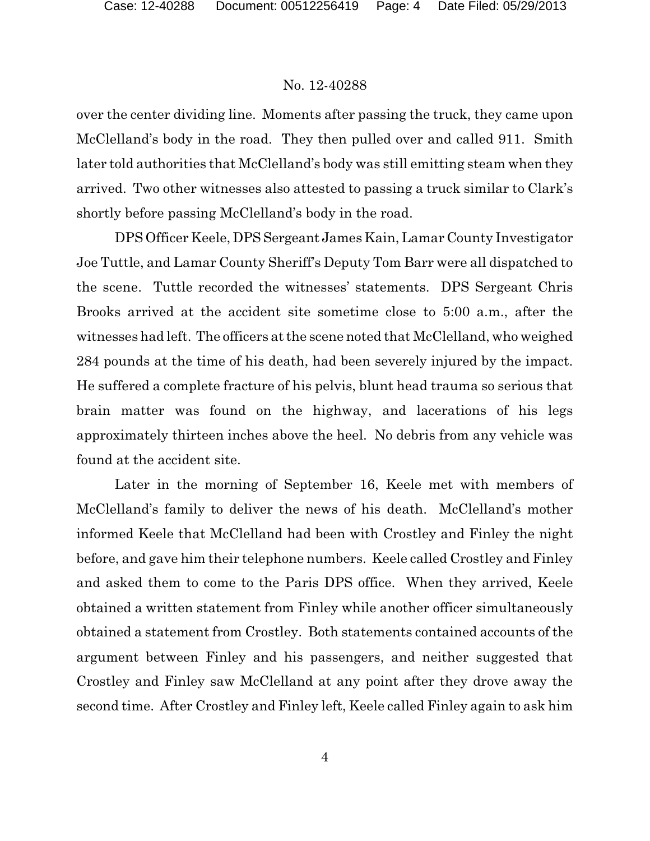over the center dividing line. Moments after passing the truck, they came upon McClelland's body in the road. They then pulled over and called 911. Smith later told authorities that McClelland's body was still emitting steam when they arrived. Two other witnesses also attested to passing a truck similar to Clark's shortly before passing McClelland's body in the road.

DPS Officer Keele, DPSSergeant James Kain, Lamar County Investigator Joe Tuttle, and Lamar County Sheriff's Deputy Tom Barr were all dispatched to the scene. Tuttle recorded the witnesses' statements. DPS Sergeant Chris Brooks arrived at the accident site sometime close to 5:00 a.m., after the witnesses had left. The officers at the scene noted that McClelland, who weighed 284 pounds at the time of his death, had been severely injured by the impact. He suffered a complete fracture of his pelvis, blunt head trauma so serious that brain matter was found on the highway, and lacerations of his legs approximately thirteen inches above the heel. No debris from any vehicle was found at the accident site.

Later in the morning of September 16, Keele met with members of McClelland's family to deliver the news of his death. McClelland's mother informed Keele that McClelland had been with Crostley and Finley the night before, and gave him their telephone numbers. Keele called Crostley and Finley and asked them to come to the Paris DPS office. When they arrived, Keele obtained a written statement from Finley while another officer simultaneously obtained a statement from Crostley. Both statements contained accounts of the argument between Finley and his passengers, and neither suggested that Crostley and Finley saw McClelland at any point after they drove away the second time. After Crostley and Finley left, Keele called Finley again to ask him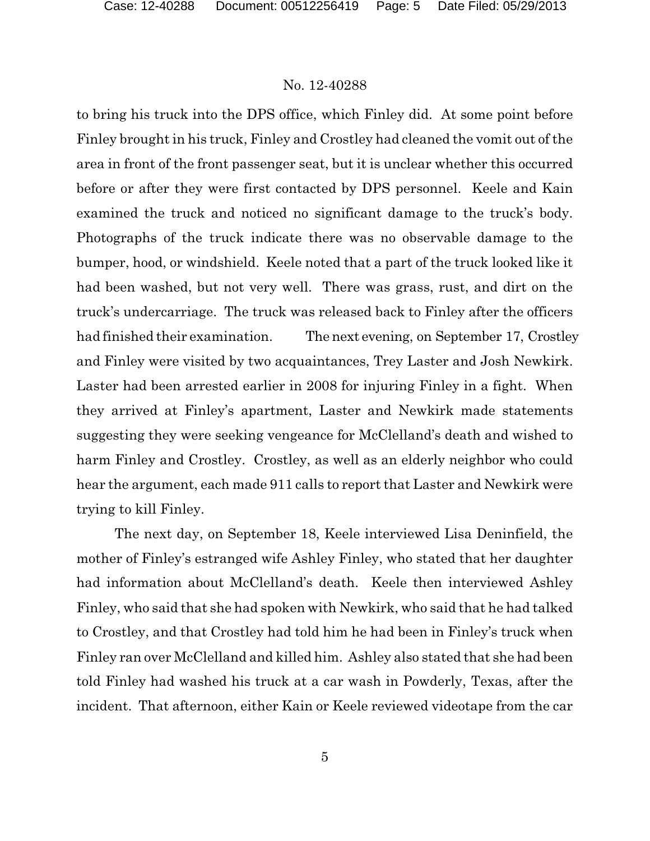to bring his truck into the DPS office, which Finley did. At some point before Finley brought in his truck, Finley and Crostley had cleaned the vomit out of the area in front of the front passenger seat, but it is unclear whether this occurred before or after they were first contacted by DPS personnel. Keele and Kain examined the truck and noticed no significant damage to the truck's body. Photographs of the truck indicate there was no observable damage to the bumper, hood, or windshield. Keele noted that a part of the truck looked like it had been washed, but not very well. There was grass, rust, and dirt on the truck's undercarriage. The truck was released back to Finley after the officers had finished their examination. The next evening, on September 17, Crostley and Finley were visited by two acquaintances, Trey Laster and Josh Newkirk. Laster had been arrested earlier in 2008 for injuring Finley in a fight. When they arrived at Finley's apartment, Laster and Newkirk made statements suggesting they were seeking vengeance for McClelland's death and wished to harm Finley and Crostley. Crostley, as well as an elderly neighbor who could hear the argument, each made 911 calls to report that Laster and Newkirk were trying to kill Finley.

The next day, on September 18, Keele interviewed Lisa Deninfield, the mother of Finley's estranged wife Ashley Finley, who stated that her daughter had information about McClelland's death. Keele then interviewed Ashley Finley, who said that she had spoken with Newkirk, who said that he had talked to Crostley, and that Crostley had told him he had been in Finley's truck when Finley ran over McClelland and killed him. Ashley also stated that she had been told Finley had washed his truck at a car wash in Powderly, Texas, after the incident. That afternoon, either Kain or Keele reviewed videotape from the car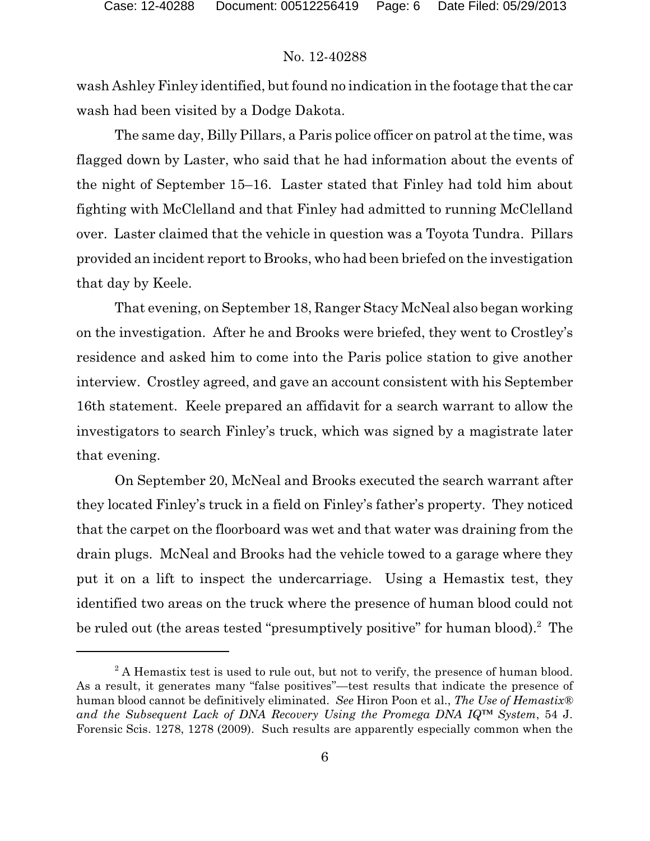wash Ashley Finley identified, but found no indication in the footage that the car wash had been visited by a Dodge Dakota.

The same day, Billy Pillars, a Paris police officer on patrol at the time, was flagged down by Laster, who said that he had information about the events of the night of September 15–16. Laster stated that Finley had told him about fighting with McClelland and that Finley had admitted to running McClelland over. Laster claimed that the vehicle in question was a Toyota Tundra. Pillars provided an incident report to Brooks, who had been briefed on the investigation that day by Keele.

That evening, on September 18, Ranger Stacy McNeal also began working on the investigation. After he and Brooks were briefed, they went to Crostley's residence and asked him to come into the Paris police station to give another interview. Crostley agreed, and gave an account consistent with his September 16th statement. Keele prepared an affidavit for a search warrant to allow the investigators to search Finley's truck, which was signed by a magistrate later that evening.

On September 20, McNeal and Brooks executed the search warrant after they located Finley's truck in a field on Finley's father's property. They noticed that the carpet on the floorboard was wet and that water was draining from the drain plugs. McNeal and Brooks had the vehicle towed to a garage where they put it on a lift to inspect the undercarriage. Using a Hemastix test, they identified two areas on the truck where the presence of human blood could not be ruled out (the areas tested "presumptively positive" for human blood).<sup>2</sup> The

<sup>&</sup>lt;sup>2</sup> A Hemastix test is used to rule out, but not to verify, the presence of human blood. As a result, it generates many "false positives"—test results that indicate the presence of human blood cannot be definitively eliminated. *See* Hiron Poon et al., *The Use of Hemastix® and the Subsequent Lack of DNA Recovery Using the Promega DNA IQ™ System*, 54 J. Forensic Scis. 1278, 1278 (2009). Such results are apparently especially common when the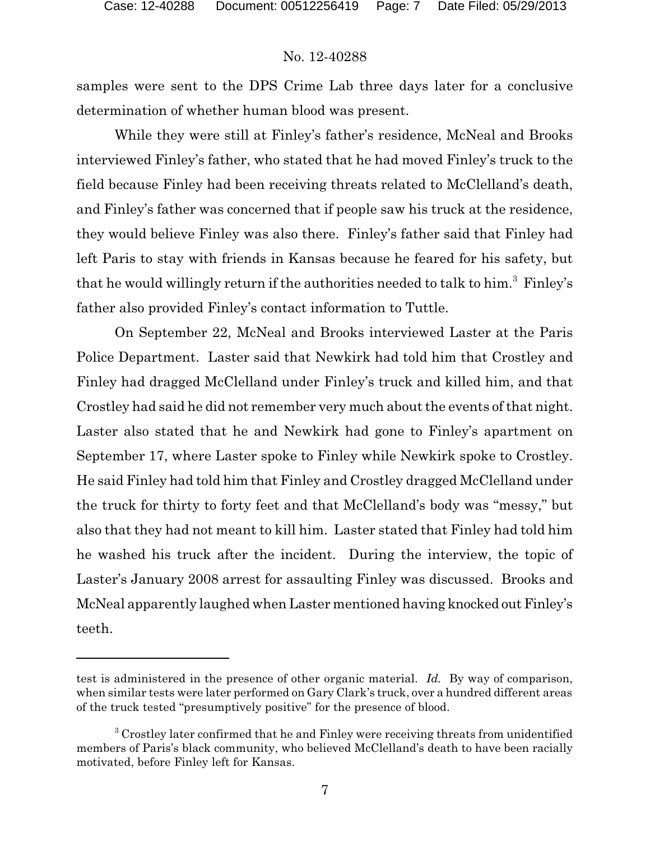samples were sent to the DPS Crime Lab three days later for a conclusive determination of whether human blood was present.

While they were still at Finley's father's residence, McNeal and Brooks interviewed Finley's father, who stated that he had moved Finley's truck to the field because Finley had been receiving threats related to McClelland's death, and Finley's father was concerned that if people saw his truck at the residence, they would believe Finley was also there. Finley's father said that Finley had left Paris to stay with friends in Kansas because he feared for his safety, but that he would willingly return if the authorities needed to talk to him.<sup>3</sup> Finley's father also provided Finley's contact information to Tuttle.

On September 22, McNeal and Brooks interviewed Laster at the Paris Police Department. Laster said that Newkirk had told him that Crostley and Finley had dragged McClelland under Finley's truck and killed him, and that Crostley had said he did not remember very much about the events of that night. Laster also stated that he and Newkirk had gone to Finley's apartment on September 17, where Laster spoke to Finley while Newkirk spoke to Crostley. He said Finley had told him that Finley and Crostley dragged McClelland under the truck for thirty to forty feet and that McClelland's body was "messy," but also that they had not meant to kill him. Laster stated that Finley had told him he washed his truck after the incident. During the interview, the topic of Laster's January 2008 arrest for assaulting Finley was discussed. Brooks and McNeal apparently laughed when Laster mentioned having knocked out Finley's teeth.

test is administered in the presence of other organic material. *Id.* By way of comparison, when similar tests were later performed on Gary Clark's truck, over a hundred different areas of the truck tested "presumptively positive" for the presence of blood.

<sup>&</sup>lt;sup>3</sup> Crostley later confirmed that he and Finley were receiving threats from unidentified members of Paris's black community, who believed McClelland's death to have been racially motivated, before Finley left for Kansas.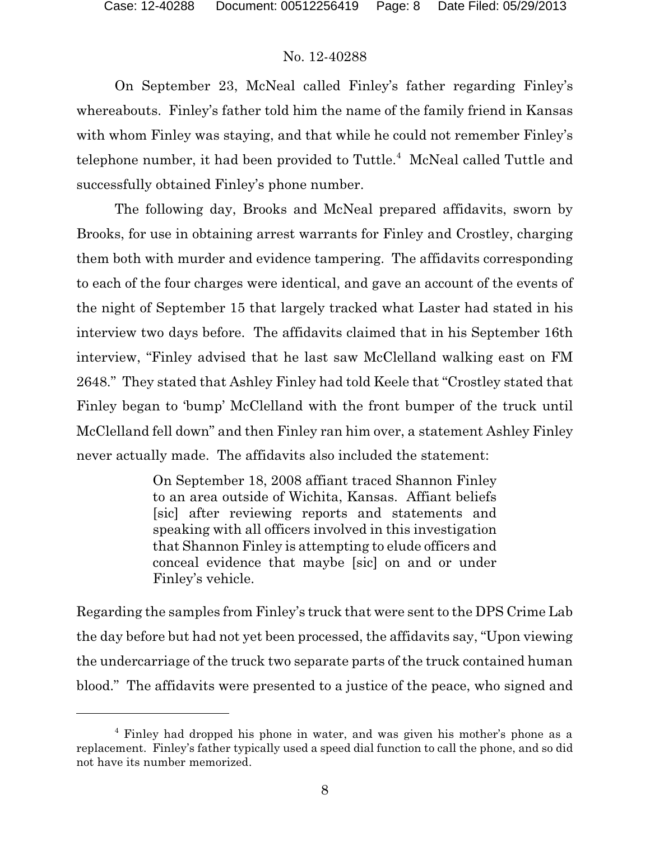On September 23, McNeal called Finley's father regarding Finley's whereabouts. Finley's father told him the name of the family friend in Kansas with whom Finley was staying, and that while he could not remember Finley's telephone number, it had been provided to Tuttle.<sup>4</sup> McNeal called Tuttle and successfully obtained Finley's phone number.

The following day, Brooks and McNeal prepared affidavits, sworn by Brooks, for use in obtaining arrest warrants for Finley and Crostley, charging them both with murder and evidence tampering. The affidavits corresponding to each of the four charges were identical, and gave an account of the events of the night of September 15 that largely tracked what Laster had stated in his interview two days before. The affidavits claimed that in his September 16th interview, "Finley advised that he last saw McClelland walking east on FM 2648." They stated that Ashley Finley had told Keele that "Crostley stated that Finley began to 'bump' McClelland with the front bumper of the truck until McClelland fell down" and then Finley ran him over, a statement Ashley Finley never actually made. The affidavits also included the statement:

> On September 18, 2008 affiant traced Shannon Finley to an area outside of Wichita, Kansas. Affiant beliefs [sic] after reviewing reports and statements and speaking with all officers involved in this investigation that Shannon Finley is attempting to elude officers and conceal evidence that maybe [sic] on and or under Finley's vehicle.

Regarding the samples from Finley's truck that were sent to the DPS Crime Lab the day before but had not yet been processed, the affidavits say, "Upon viewing the undercarriage of the truck two separate parts of the truck contained human blood." The affidavits were presented to a justice of the peace, who signed and

<sup>4</sup> Finley had dropped his phone in water, and was given his mother's phone as a replacement. Finley's father typically used a speed dial function to call the phone, and so did not have its number memorized.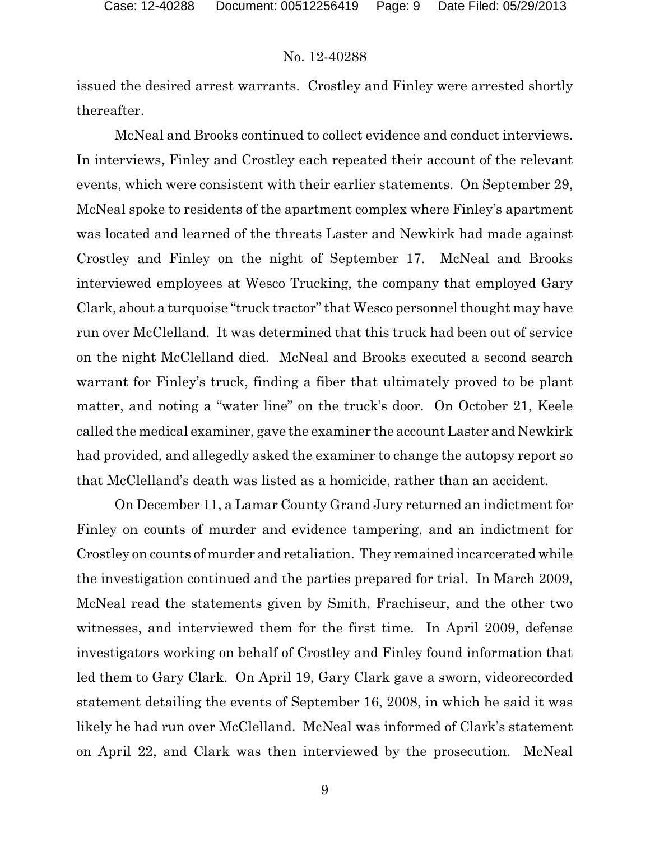issued the desired arrest warrants. Crostley and Finley were arrested shortly thereafter.

McNeal and Brooks continued to collect evidence and conduct interviews. In interviews, Finley and Crostley each repeated their account of the relevant events, which were consistent with their earlier statements. On September 29, McNeal spoke to residents of the apartment complex where Finley's apartment was located and learned of the threats Laster and Newkirk had made against Crostley and Finley on the night of September 17. McNeal and Brooks interviewed employees at Wesco Trucking, the company that employed Gary Clark, about a turquoise "truck tractor" that Wesco personnel thought may have run over McClelland. It was determined that this truck had been out of service on the night McClelland died. McNeal and Brooks executed a second search warrant for Finley's truck, finding a fiber that ultimately proved to be plant matter, and noting a "water line" on the truck's door. On October 21, Keele called the medical examiner, gave the examiner the account Laster and Newkirk had provided, and allegedly asked the examiner to change the autopsy report so that McClelland's death was listed as a homicide, rather than an accident.

On December 11, a Lamar County Grand Jury returned an indictment for Finley on counts of murder and evidence tampering, and an indictment for Crostley on counts of murder and retaliation. They remained incarcerated while the investigation continued and the parties prepared for trial. In March 2009, McNeal read the statements given by Smith, Frachiseur, and the other two witnesses, and interviewed them for the first time. In April 2009, defense investigators working on behalf of Crostley and Finley found information that led them to Gary Clark. On April 19, Gary Clark gave a sworn, videorecorded statement detailing the events of September 16, 2008, in which he said it was likely he had run over McClelland. McNeal was informed of Clark's statement on April 22, and Clark was then interviewed by the prosecution. McNeal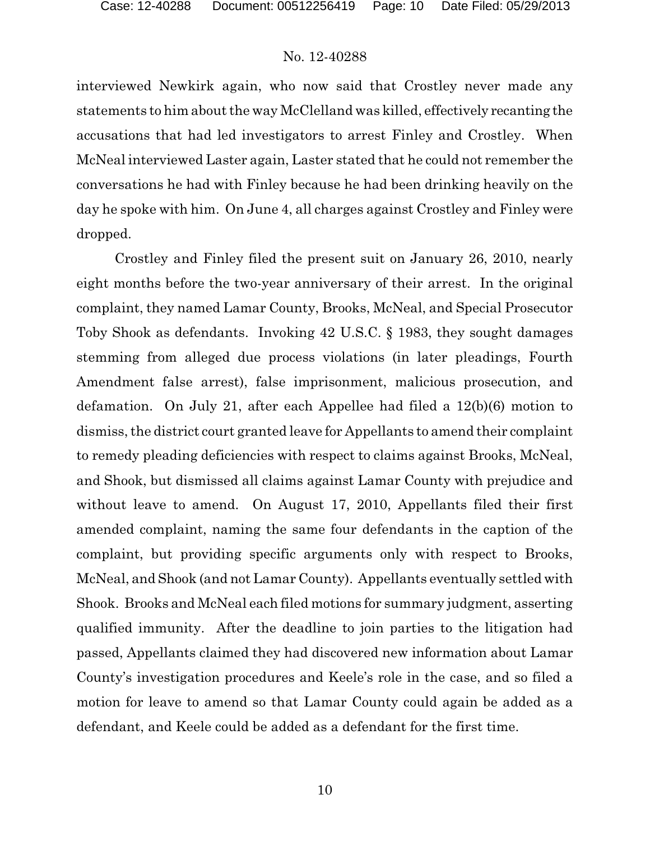interviewed Newkirk again, who now said that Crostley never made any statements to him about the way McClelland was killed, effectively recanting the accusations that had led investigators to arrest Finley and Crostley. When McNeal interviewed Laster again, Laster stated that he could not remember the conversations he had with Finley because he had been drinking heavily on the day he spoke with him. On June 4, all charges against Crostley and Finley were dropped.

Crostley and Finley filed the present suit on January 26, 2010, nearly eight months before the two-year anniversary of their arrest. In the original complaint, they named Lamar County, Brooks, McNeal, and Special Prosecutor Toby Shook as defendants. Invoking 42 U.S.C. § 1983, they sought damages stemming from alleged due process violations (in later pleadings, Fourth Amendment false arrest), false imprisonment, malicious prosecution, and defamation. On July 21, after each Appellee had filed a 12(b)(6) motion to dismiss, the district court granted leave for Appellants to amend their complaint to remedy pleading deficiencies with respect to claims against Brooks, McNeal, and Shook, but dismissed all claims against Lamar County with prejudice and without leave to amend. On August 17, 2010, Appellants filed their first amended complaint, naming the same four defendants in the caption of the complaint, but providing specific arguments only with respect to Brooks, McNeal, and Shook (and not Lamar County). Appellants eventually settled with Shook. Brooks and McNeal each filed motions for summary judgment, asserting qualified immunity. After the deadline to join parties to the litigation had passed, Appellants claimed they had discovered new information about Lamar County's investigation procedures and Keele's role in the case, and so filed a motion for leave to amend so that Lamar County could again be added as a defendant, and Keele could be added as a defendant for the first time.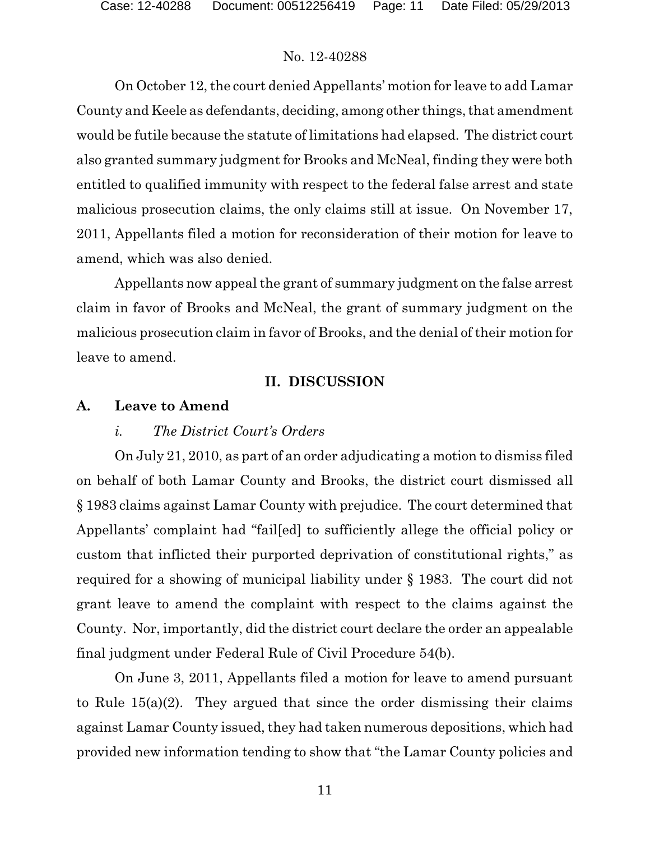On October 12, the court denied Appellants' motion for leave to add Lamar County and Keele as defendants, deciding, among other things, that amendment would be futile because the statute of limitations had elapsed. The district court also granted summary judgment for Brooks and McNeal, finding they were both entitled to qualified immunity with respect to the federal false arrest and state malicious prosecution claims, the only claims still at issue. On November 17, 2011, Appellants filed a motion for reconsideration of their motion for leave to amend, which was also denied.

Appellants now appeal the grant of summary judgment on the false arrest claim in favor of Brooks and McNeal, the grant of summary judgment on the malicious prosecution claim in favor of Brooks, and the denial of their motion for leave to amend.

## **II. DISCUSSION**

## **A. Leave to Amend**

## *i. The District Court's Orders*

On July 21, 2010, as part of an order adjudicating a motion to dismiss filed on behalf of both Lamar County and Brooks, the district court dismissed all § 1983 claims against Lamar County with prejudice. The court determined that Appellants' complaint had "fail[ed] to sufficiently allege the official policy or custom that inflicted their purported deprivation of constitutional rights," as required for a showing of municipal liability under § 1983. The court did not grant leave to amend the complaint with respect to the claims against the County. Nor, importantly, did the district court declare the order an appealable final judgment under Federal Rule of Civil Procedure 54(b).

On June 3, 2011, Appellants filed a motion for leave to amend pursuant to Rule 15(a)(2). They argued that since the order dismissing their claims against Lamar County issued, they had taken numerous depositions, which had provided new information tending to show that "the Lamar County policies and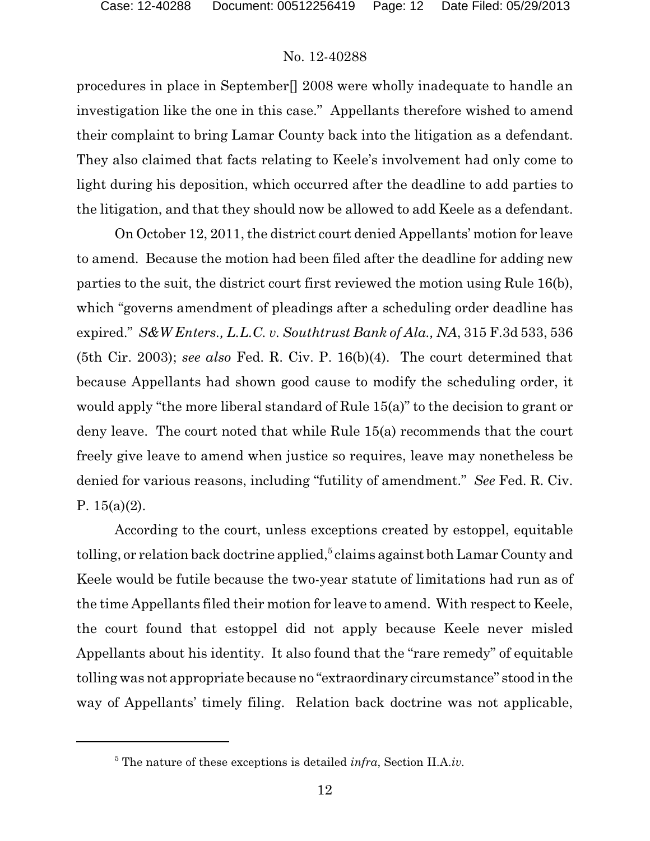procedures in place in September[] 2008 were wholly inadequate to handle an investigation like the one in this case." Appellants therefore wished to amend their complaint to bring Lamar County back into the litigation as a defendant. They also claimed that facts relating to Keele's involvement had only come to light during his deposition, which occurred after the deadline to add parties to the litigation, and that they should now be allowed to add Keele as a defendant.

On October 12, 2011, the district court denied Appellants' motion for leave to amend. Because the motion had been filed after the deadline for adding new parties to the suit, the district court first reviewed the motion using Rule 16(b), which "governs amendment of pleadings after a scheduling order deadline has expired." *S&W Enters., L.L.C. v. Southtrust Bank of Ala., NA*, 315 F.3d 533, 536 (5th Cir. 2003); *see also* Fed. R. Civ. P. 16(b)(4). The court determined that because Appellants had shown good cause to modify the scheduling order, it would apply "the more liberal standard of Rule 15(a)" to the decision to grant or deny leave. The court noted that while Rule 15(a) recommends that the court freely give leave to amend when justice so requires, leave may nonetheless be denied for various reasons, including "futility of amendment." *See* Fed. R. Civ. P.  $15(a)(2)$ .

According to the court, unless exceptions created by estoppel, equitable tolling, or relation back doctrine applied, $^5$  claims against both Lamar County and Keele would be futile because the two-year statute of limitations had run as of the time Appellants filed their motion for leave to amend. With respect to Keele, the court found that estoppel did not apply because Keele never misled Appellants about his identity. It also found that the "rare remedy" of equitable tolling was not appropriate because no "extraordinary circumstance" stood in the way of Appellants' timely filing. Relation back doctrine was not applicable,

<sup>5</sup> The nature of these exceptions is detailed *infra*, Section II.A.*iv.*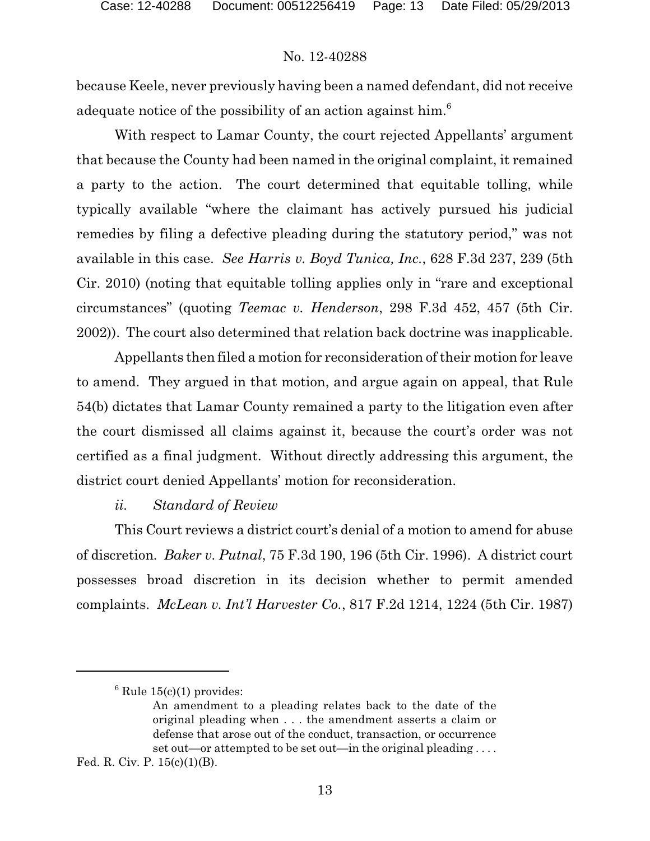because Keele, never previously having been a named defendant, did not receive adequate notice of the possibility of an action against him.<sup>6</sup>

With respect to Lamar County, the court rejected Appellants' argument that because the County had been named in the original complaint, it remained a party to the action. The court determined that equitable tolling, while typically available "where the claimant has actively pursued his judicial remedies by filing a defective pleading during the statutory period," was not available in this case. *See Harris v. Boyd Tunica, Inc.*, 628 F.3d 237, 239 (5th Cir. 2010) (noting that equitable tolling applies only in "rare and exceptional circumstances" (quoting *Teemac v. Henderson*, 298 F.3d 452, 457 (5th Cir. 2002)). The court also determined that relation back doctrine was inapplicable.

Appellants then filed a motion for reconsideration of their motion for leave to amend. They argued in that motion, and argue again on appeal, that Rule 54(b) dictates that Lamar County remained a party to the litigation even after the court dismissed all claims against it, because the court's order was not certified as a final judgment. Without directly addressing this argument, the district court denied Appellants' motion for reconsideration.

### *ii. Standard of Review*

This Court reviews a district court's denial of a motion to amend for abuse of discretion*. Baker v. Putnal*, 75 F.3d 190, 196 (5th Cir. 1996). A district court possesses broad discretion in its decision whether to permit amended complaints. *McLean v. Int'l Harvester Co.*, 817 F.2d 1214, 1224 (5th Cir. 1987)

 $6$  Rule 15(c)(1) provides:

An amendment to a pleading relates back to the date of the original pleading when . . . the amendment asserts a claim or defense that arose out of the conduct, transaction, or occurrence set out—or attempted to be set out—in the original pleading . . . .

Fed. R. Civ. P. 15(c)(1)(B).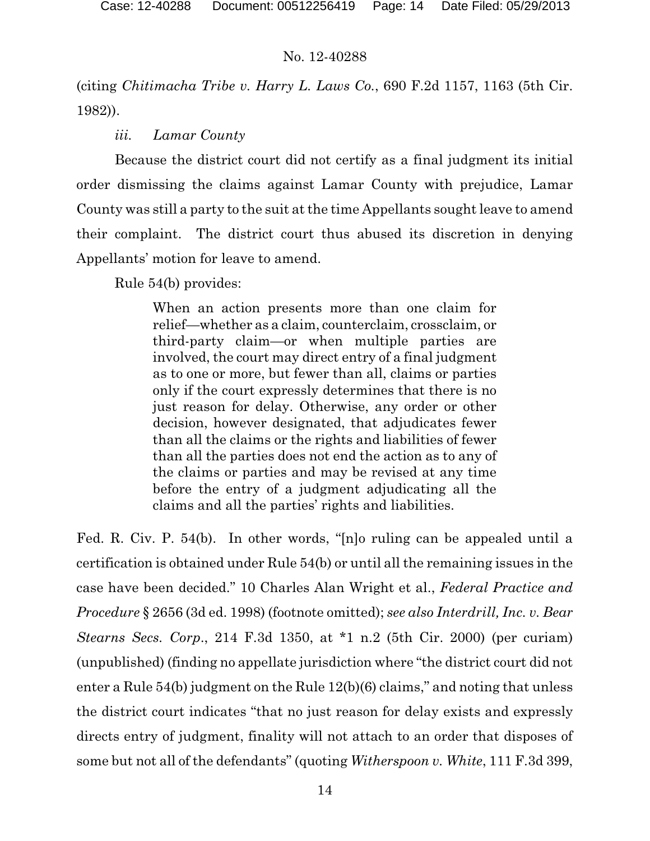(citing *Chitimacha Tribe v. Harry L. Laws Co.*, 690 F.2d 1157, 1163 (5th Cir. 1982)).

## *iii. Lamar County*

Because the district court did not certify as a final judgment its initial order dismissing the claims against Lamar County with prejudice, Lamar County was still a party to the suit at the time Appellants sought leave to amend their complaint. The district court thus abused its discretion in denying Appellants' motion for leave to amend.

Rule 54(b) provides:

When an action presents more than one claim for relief—whether as a claim, counterclaim, crossclaim, or third-party claim—or when multiple parties are involved, the court may direct entry of a final judgment as to one or more, but fewer than all, claims or parties only if the court expressly determines that there is no just reason for delay. Otherwise, any order or other decision, however designated, that adjudicates fewer than all the claims or the rights and liabilities of fewer than all the parties does not end the action as to any of the claims or parties and may be revised at any time before the entry of a judgment adjudicating all the claims and all the parties' rights and liabilities.

Fed. R. Civ. P. 54(b). In other words, "[n]o ruling can be appealed until a certification is obtained under Rule 54(b) or until all the remaining issues in the case have been decided." 10 Charles Alan Wright et al., *Federal Practice and Procedure* § 2656 (3d ed. 1998) (footnote omitted); *see also Interdrill, Inc. v. Bear Stearns Secs. Corp*., 214 F.3d 1350, at \*1 n.2 (5th Cir. 2000) (per curiam) (unpublished) (finding no appellate jurisdiction where "the district court did not enter a Rule 54(b) judgment on the Rule 12(b)(6) claims," and noting that unless the district court indicates "that no just reason for delay exists and expressly directs entry of judgment, finality will not attach to an order that disposes of some but not all of the defendants" (quoting *Witherspoon v. White*, 111 F.3d 399,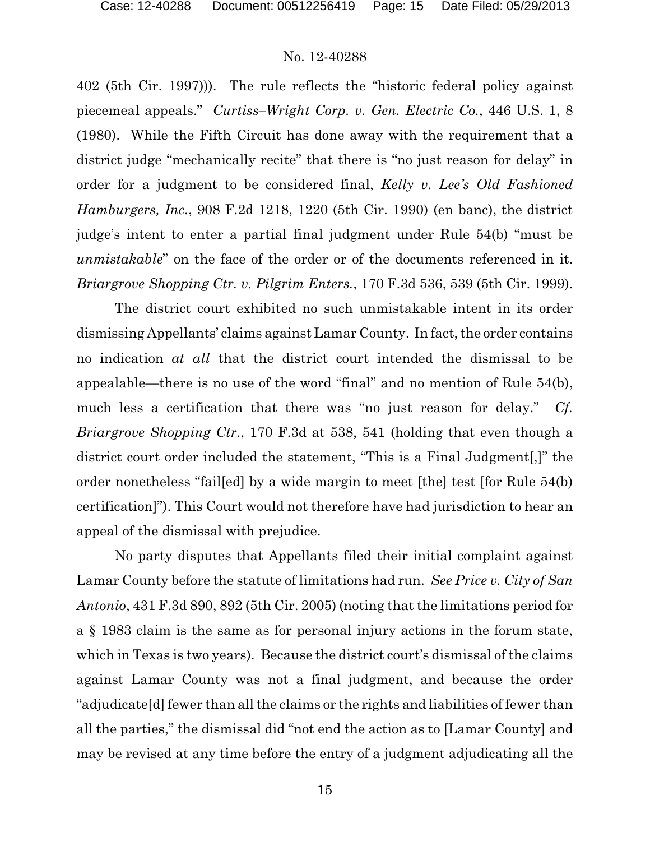402 (5th Cir. 1997))). The rule reflects the "historic federal policy against piecemeal appeals." *Curtiss–Wright Corp. v. Gen. Electric Co.*, 446 U.S. 1, 8 (1980). While the Fifth Circuit has done away with the requirement that a district judge "mechanically recite" that there is "no just reason for delay" in order for a judgment to be considered final, *Kelly v. Lee's Old Fashioned Hamburgers, Inc.*, 908 F.2d 1218, 1220 (5th Cir. 1990) (en banc), the district judge's intent to enter a partial final judgment under Rule 54(b) "must be *unmistakable*" on the face of the order or of the documents referenced in it. *Briargrove Shopping Ctr. v. Pilgrim Enters.*, 170 F.3d 536, 539 (5th Cir. 1999).

The district court exhibited no such unmistakable intent in its order dismissing Appellants' claims against Lamar County. In fact, the order contains no indication *at all* that the district court intended the dismissal to be appealable—there is no use of the word "final" and no mention of Rule 54(b), much less a certification that there was "no just reason for delay." *Cf. Briargrove Shopping Ctr.*, 170 F.3d at 538, 541 (holding that even though a district court order included the statement, "This is a Final Judgment[,]" the order nonetheless "fail[ed] by a wide margin to meet [the] test [for Rule 54(b) certification]"). This Court would not therefore have had jurisdiction to hear an appeal of the dismissal with prejudice.

No party disputes that Appellants filed their initial complaint against Lamar County before the statute of limitations had run. *See Price v. City of San Antonio*, 431 F.3d 890, 892 (5th Cir. 2005) (noting that the limitations period for a § 1983 claim is the same as for personal injury actions in the forum state, which in Texas is two years). Because the district court's dismissal of the claims against Lamar County was not a final judgment, and because the order "adjudicate[d] fewer than all the claims or the rights and liabilities of fewer than all the parties," the dismissal did "not end the action as to [Lamar County] and may be revised at any time before the entry of a judgment adjudicating all the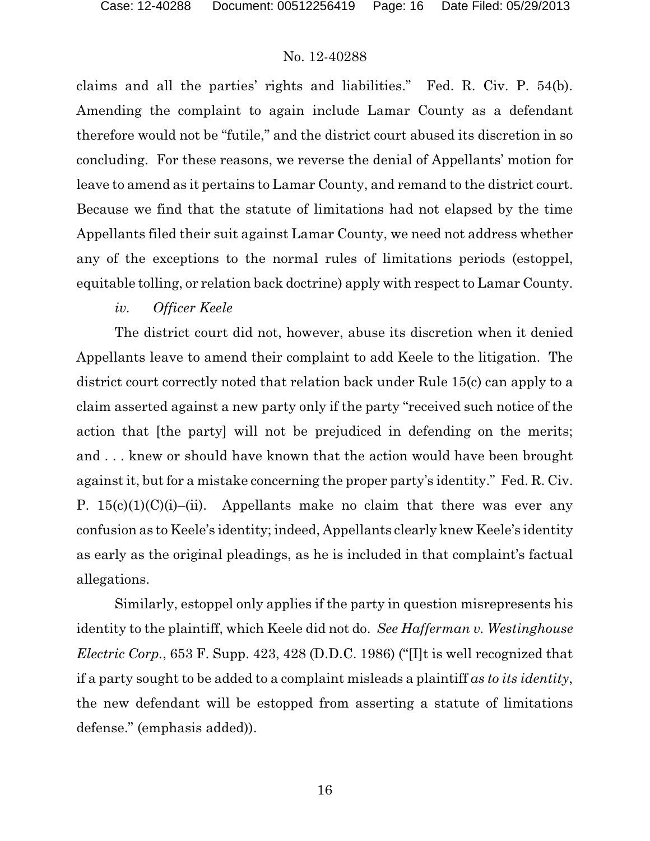claims and all the parties' rights and liabilities." Fed. R. Civ. P. 54(b). Amending the complaint to again include Lamar County as a defendant therefore would not be "futile," and the district court abused its discretion in so concluding. For these reasons, we reverse the denial of Appellants' motion for leave to amend as it pertains to Lamar County, and remand to the district court. Because we find that the statute of limitations had not elapsed by the time Appellants filed their suit against Lamar County, we need not address whether any of the exceptions to the normal rules of limitations periods (estoppel, equitable tolling, or relation back doctrine) apply with respect to Lamar County.

### *iv. Officer Keele*

The district court did not, however, abuse its discretion when it denied Appellants leave to amend their complaint to add Keele to the litigation. The district court correctly noted that relation back under Rule 15(c) can apply to a claim asserted against a new party only if the party "received such notice of the action that [the party] will not be prejudiced in defending on the merits; and . . . knew or should have known that the action would have been brought against it, but for a mistake concerning the proper party's identity." Fed. R. Civ. P.  $15(c)(1)(C)(i)$ –(ii). Appellants make no claim that there was ever any confusion as to Keele's identity; indeed, Appellants clearly knew Keele's identity as early as the original pleadings, as he is included in that complaint's factual allegations.

Similarly, estoppel only applies if the party in question misrepresents his identity to the plaintiff, which Keele did not do. *See Hafferman v. Westinghouse Electric Corp.*, 653 F. Supp. 423, 428 (D.D.C. 1986) ("[I]t is well recognized that if a party sought to be added to a complaint misleads a plaintiff *as to its identity*, the new defendant will be estopped from asserting a statute of limitations defense." (emphasis added)).

16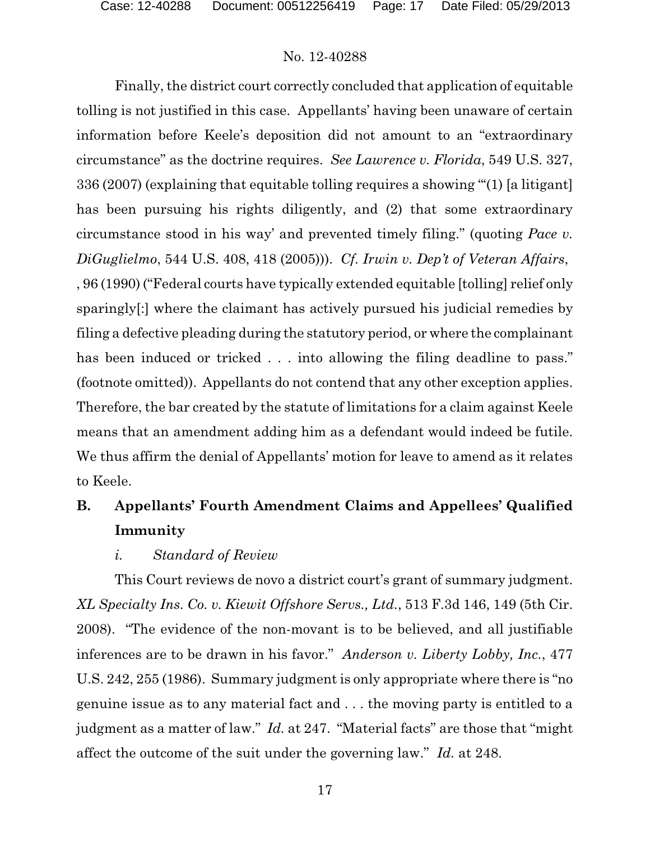Finally, the district court correctly concluded that application of equitable tolling is not justified in this case. Appellants' having been unaware of certain information before Keele's deposition did not amount to an "extraordinary circumstance" as the doctrine requires. *See Lawrence v. Florida*, 549 U.S. 327, 336 (2007) (explaining that equitable tolling requires a showing "'(1) [a litigant] has been pursuing his rights diligently, and (2) that some extraordinary circumstance stood in his way' and prevented timely filing." (quoting *Pace v. DiGuglielmo*, 544 U.S. 408, 418 (2005))). *Cf. Irwin v. Dep't of Veteran Affairs*, , 96 (1990) ("Federal courts have typically extended equitable [tolling] relief only sparingly[:] where the claimant has actively pursued his judicial remedies by filing a defective pleading during the statutory period, or where the complainant has been induced or tricked . . . into allowing the filing deadline to pass." (footnote omitted)). Appellants do not contend that any other exception applies. Therefore, the bar created by the statute of limitations for a claim against Keele means that an amendment adding him as a defendant would indeed be futile. We thus affirm the denial of Appellants' motion for leave to amend as it relates to Keele.

# **B. Appellants' Fourth Amendment Claims and Appellees' Qualified Immunity**

### *i. Standard of Review*

This Court reviews de novo a district court's grant of summary judgment. *XL Specialty Ins. Co. v. Kiewit Offshore Servs., Ltd.*, 513 F.3d 146, 149 (5th Cir. 2008). "The evidence of the non-movant is to be believed, and all justifiable inferences are to be drawn in his favor." *Anderson v. Liberty Lobby, Inc.*, 477 U.S. 242, 255 (1986). Summary judgment is only appropriate where there is "no genuine issue as to any material fact and . . . the moving party is entitled to a judgment as a matter of law." *Id.* at 247. "Material facts" are those that "might affect the outcome of the suit under the governing law." *Id.* at 248.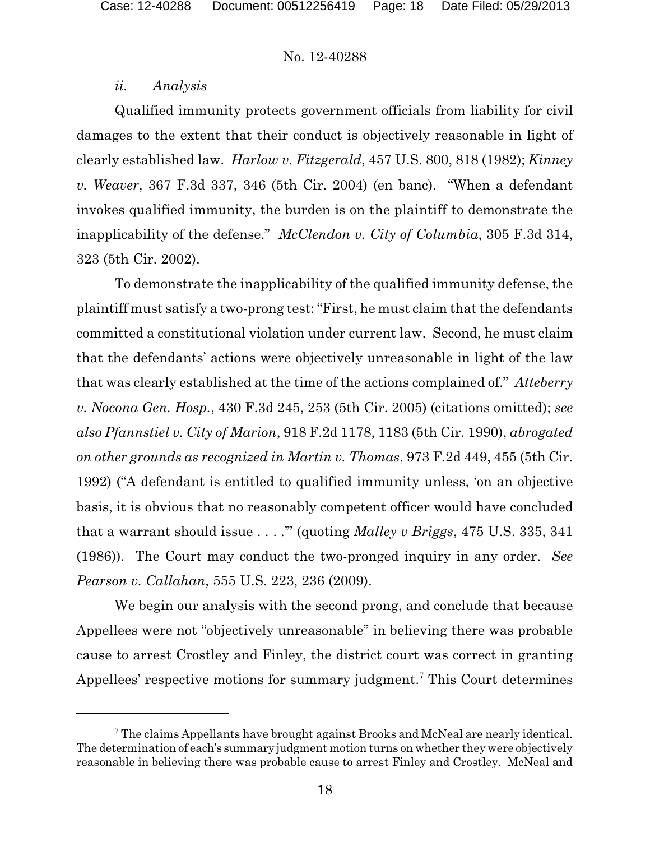### *ii. Analysis*

Qualified immunity protects government officials from liability for civil damages to the extent that their conduct is objectively reasonable in light of clearly established law. *Harlow v. Fitzgerald*, 457 U.S. 800, 818 (1982); *Kinney v. Weaver*, 367 F.3d 337, 346 (5th Cir. 2004) (en banc). "When a defendant invokes qualified immunity, the burden is on the plaintiff to demonstrate the inapplicability of the defense." *McClendon v. City of Columbia*, 305 F.3d 314, 323 (5th Cir. 2002).

To demonstrate the inapplicability of the qualified immunity defense, the plaintiff must satisfy a two-prong test: "First, he must claim that the defendants committed a constitutional violation under current law. Second, he must claim that the defendants' actions were objectively unreasonable in light of the law that was clearly established at the time of the actions complained of." *Atteberry v. Nocona Gen. Hosp.*, 430 F.3d 245, 253 (5th Cir. 2005) (citations omitted); *see also Pfannstiel v. City of Marion*, 918 F.2d 1178, 1183 (5th Cir. 1990), *abrogated on other grounds as recognized in Martin v. Thomas*, 973 F.2d 449, 455 (5th Cir. 1992) ("A defendant is entitled to qualified immunity unless, 'on an objective basis, it is obvious that no reasonably competent officer would have concluded that a warrant should issue . . . .'" (quoting *Malley v Briggs*, 475 U.S. 335, 341 (1986)). The Court may conduct the two-pronged inquiry in any order. *See Pearson v. Callahan*, 555 U.S. 223, 236 (2009).

We begin our analysis with the second prong, and conclude that because Appellees were not "objectively unreasonable" in believing there was probable cause to arrest Crostley and Finley, the district court was correct in granting Appellees' respective motions for summary judgment.<sup>7</sup> This Court determines

<sup>&</sup>lt;sup>7</sup> The claims Appellants have brought against Brooks and McNeal are nearly identical. The determination of each's summary judgment motion turns on whether they were objectively reasonable in believing there was probable cause to arrest Finley and Crostley. McNeal and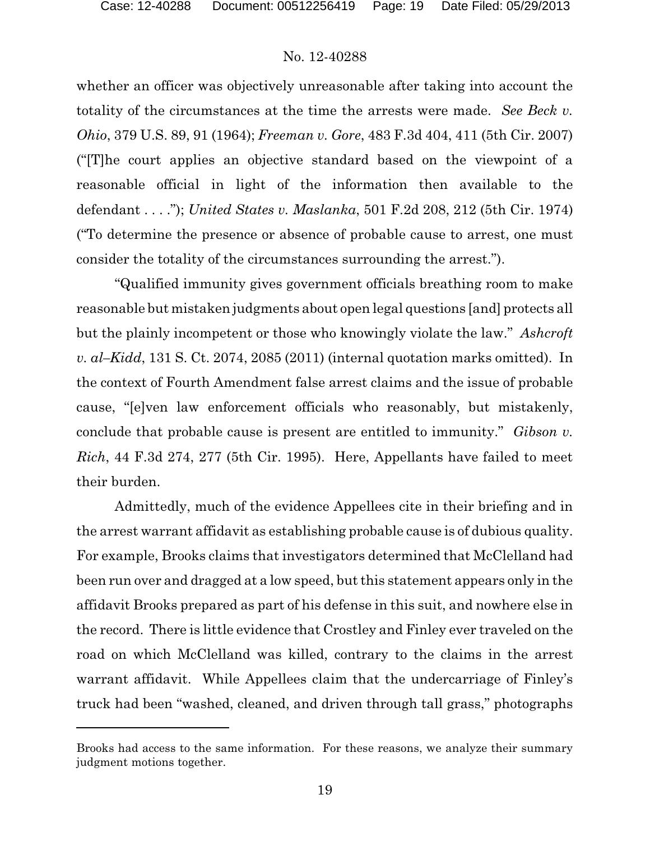whether an officer was objectively unreasonable after taking into account the totality of the circumstances at the time the arrests were made. *See Beck v. Ohio*, 379 U.S. 89, 91 (1964); *Freeman v. Gore*, 483 F.3d 404, 411 (5th Cir. 2007) ("[T]he court applies an objective standard based on the viewpoint of a reasonable official in light of the information then available to the defendant . . . ."); *United States v. Maslanka*, 501 F.2d 208, 212 (5th Cir. 1974) ("To determine the presence or absence of probable cause to arrest, one must consider the totality of the circumstances surrounding the arrest.").

"Qualified immunity gives government officials breathing room to make reasonable but mistaken judgments about open legal questions [and] protects all but the plainly incompetent or those who knowingly violate the law." *Ashcroft v. al–Kidd*, 131 S. Ct. 2074, 2085 (2011) (internal quotation marks omitted). In the context of Fourth Amendment false arrest claims and the issue of probable cause, "[e]ven law enforcement officials who reasonably, but mistakenly, conclude that probable cause is present are entitled to immunity." *Gibson v. Rich*, 44 F.3d 274, 277 (5th Cir. 1995). Here, Appellants have failed to meet their burden.

Admittedly, much of the evidence Appellees cite in their briefing and in the arrest warrant affidavit as establishing probable cause is of dubious quality. For example, Brooks claims that investigators determined that McClelland had been run over and dragged at a low speed, but this statement appears only in the affidavit Brooks prepared as part of his defense in this suit, and nowhere else in the record. There is little evidence that Crostley and Finley ever traveled on the road on which McClelland was killed, contrary to the claims in the arrest warrant affidavit. While Appellees claim that the undercarriage of Finley's truck had been "washed, cleaned, and driven through tall grass," photographs

Brooks had access to the same information. For these reasons, we analyze their summary judgment motions together.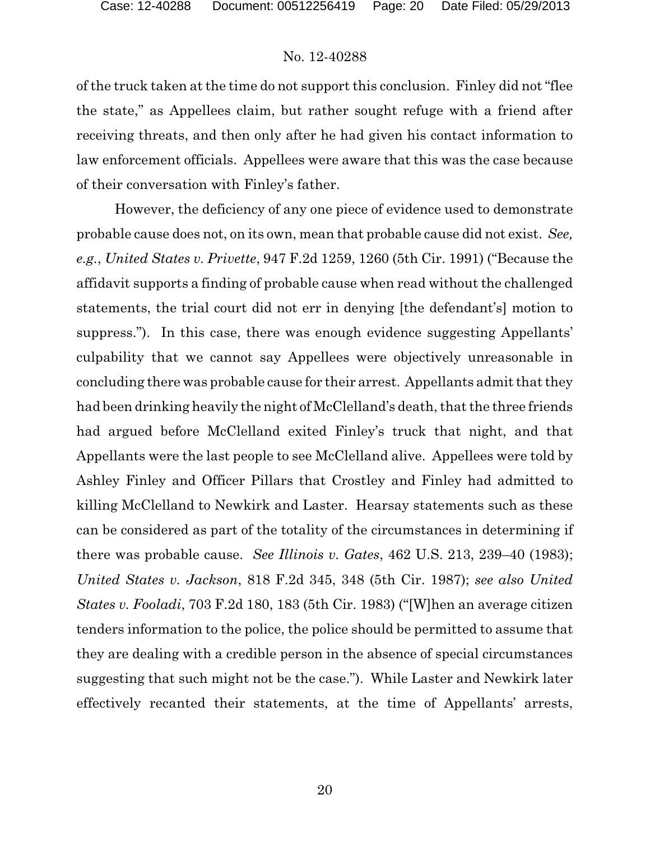of the truck taken at the time do not support this conclusion. Finley did not "flee the state," as Appellees claim, but rather sought refuge with a friend after receiving threats, and then only after he had given his contact information to law enforcement officials. Appellees were aware that this was the case because of their conversation with Finley's father.

However, the deficiency of any one piece of evidence used to demonstrate probable cause does not, on its own, mean that probable cause did not exist. *See, e.g.*, *United States v. Privette*, 947 F.2d 1259, 1260 (5th Cir. 1991) ("Because the affidavit supports a finding of probable cause when read without the challenged statements, the trial court did not err in denying [the defendant's] motion to suppress."). In this case, there was enough evidence suggesting Appellants' culpability that we cannot say Appellees were objectively unreasonable in concluding there was probable cause for their arrest. Appellants admit that they had been drinking heavily the night of McClelland's death, that the three friends had argued before McClelland exited Finley's truck that night, and that Appellants were the last people to see McClelland alive. Appellees were told by Ashley Finley and Officer Pillars that Crostley and Finley had admitted to killing McClelland to Newkirk and Laster. Hearsay statements such as these can be considered as part of the totality of the circumstances in determining if there was probable cause. *See Illinois v. Gates*, 462 U.S. 213, 239–40 (1983); *United States v. Jackson*, 818 F.2d 345, 348 (5th Cir. 1987); *see also United States v. Fooladi*, 703 F.2d 180, 183 (5th Cir. 1983) ("[W]hen an average citizen tenders information to the police, the police should be permitted to assume that they are dealing with a credible person in the absence of special circumstances suggesting that such might not be the case."). While Laster and Newkirk later effectively recanted their statements, at the time of Appellants' arrests,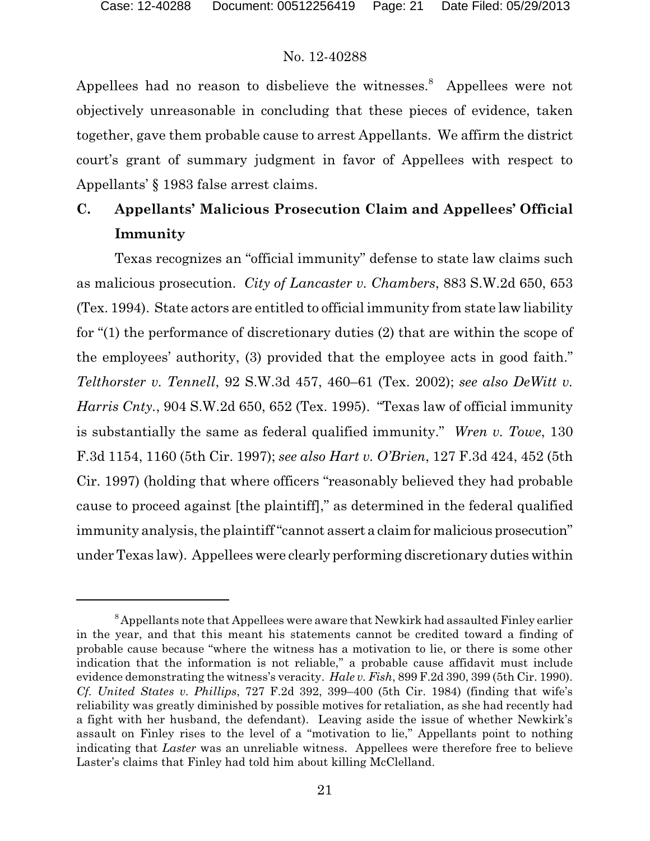Appellees had no reason to disbelieve the witnesses.<sup>8</sup> Appellees were not objectively unreasonable in concluding that these pieces of evidence, taken together, gave them probable cause to arrest Appellants. We affirm the district court's grant of summary judgment in favor of Appellees with respect to Appellants' § 1983 false arrest claims.

## **C. Appellants' Malicious Prosecution Claim and Appellees' Official Immunity**

Texas recognizes an "official immunity" defense to state law claims such as malicious prosecution. *City of Lancaster v. Chambers*, 883 S.W.2d 650, 653 (Tex. 1994). State actors are entitled to official immunity from state law liability for "(1) the performance of discretionary duties (2) that are within the scope of the employees' authority, (3) provided that the employee acts in good faith." *Telthorster v. Tennell*, 92 S.W.3d 457, 460–61 (Tex. 2002); *see also DeWitt v. Harris Cnty.*, 904 S.W.2d 650, 652 (Tex. 1995). "Texas law of official immunity is substantially the same as federal qualified immunity." *Wren v. Towe*, 130 F.3d 1154, 1160 (5th Cir. 1997); *see also Hart v. O'Brien*, 127 F.3d 424, 452 (5th Cir. 1997) (holding that where officers "reasonably believed they had probable cause to proceed against [the plaintiff]," as determined in the federal qualified immunity analysis, the plaintiff "cannot assert a claim for malicious prosecution" under Texas law). Appellees were clearly performing discretionary duties within

 $8$ Appellants note that Appellees were aware that Newkirk had assaulted Finley earlier in the year, and that this meant his statements cannot be credited toward a finding of probable cause because "where the witness has a motivation to lie, or there is some other indication that the information is not reliable," a probable cause affidavit must include evidence demonstrating the witness's veracity. *Hale v. Fish*, 899 F.2d 390, 399 (5th Cir. 1990). *Cf. United States v. Phillips*, 727 F.2d 392, 399–400 (5th Cir. 1984) (finding that wife's reliability was greatly diminished by possible motives for retaliation, as she had recently had a fight with her husband, the defendant). Leaving aside the issue of whether Newkirk's assault on Finley rises to the level of a "motivation to lie," Appellants point to nothing indicating that *Laster* was an unreliable witness. Appellees were therefore free to believe Laster's claims that Finley had told him about killing McClelland.